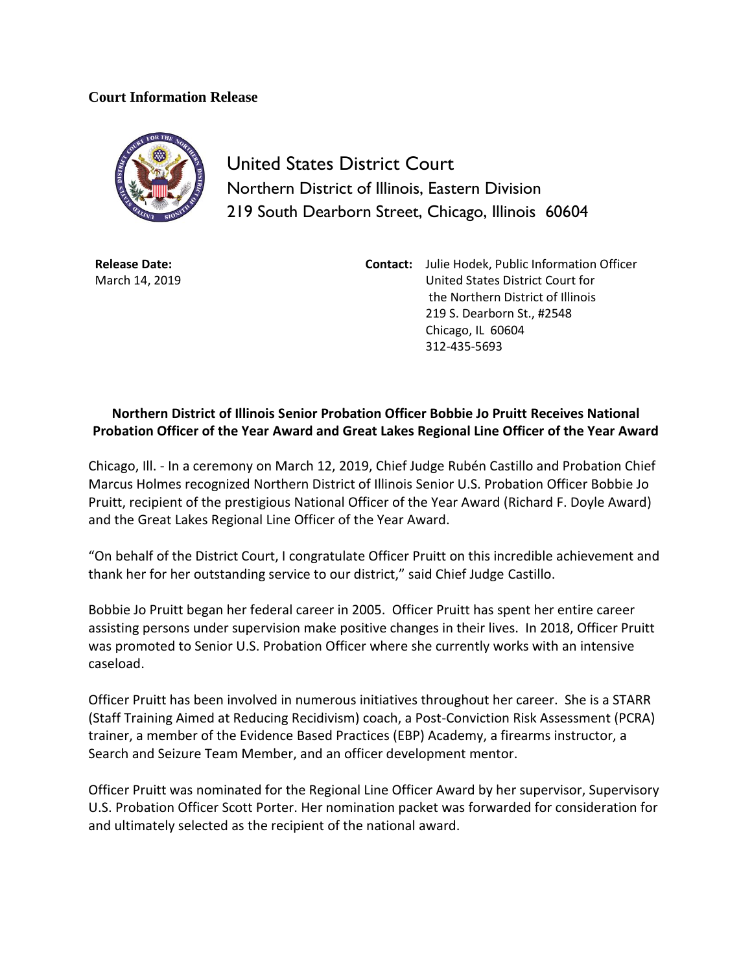## **Court Information Release**



United States District Court Northern District of Illinois, Eastern Division 219 South Dearborn Street, Chicago, Illinois 60604

**Release Date:** March 14, 2019 **Contact:** Julie Hodek, Public Information Officer United States District Court for the Northern District of Illinois 219 S. Dearborn St., #2548 Chicago, IL 60604 312-435-5693

## **Northern District of Illinois Senior Probation Officer Bobbie Jo Pruitt Receives National Probation Officer of the Year Award and Great Lakes Regional Line Officer of the Year Award**

Chicago, Ill. - In a ceremony on March 12, 2019, Chief Judge Rubén Castillo and Probation Chief Marcus Holmes recognized Northern District of Illinois Senior U.S. Probation Officer Bobbie Jo Pruitt, recipient of the prestigious National Officer of the Year Award (Richard F. Doyle Award) and the Great Lakes Regional Line Officer of the Year Award.

"On behalf of the District Court, I congratulate Officer Pruitt on this incredible achievement and thank her for her outstanding service to our district," said Chief Judge Castillo.

Bobbie Jo Pruitt began her federal career in 2005. Officer Pruitt has spent her entire career assisting persons under supervision make positive changes in their lives. In 2018, Officer Pruitt was promoted to Senior U.S. Probation Officer where she currently works with an intensive caseload.

Officer Pruitt has been involved in numerous initiatives throughout her career. She is a STARR (Staff Training Aimed at Reducing Recidivism) coach, a Post-Conviction Risk Assessment (PCRA) trainer, a member of the Evidence Based Practices (EBP) Academy, a firearms instructor, a Search and Seizure Team Member, and an officer development mentor.

Officer Pruitt was nominated for the Regional Line Officer Award by her supervisor, Supervisory U.S. Probation Officer Scott Porter. Her nomination packet was forwarded for consideration for and ultimately selected as the recipient of the national award.